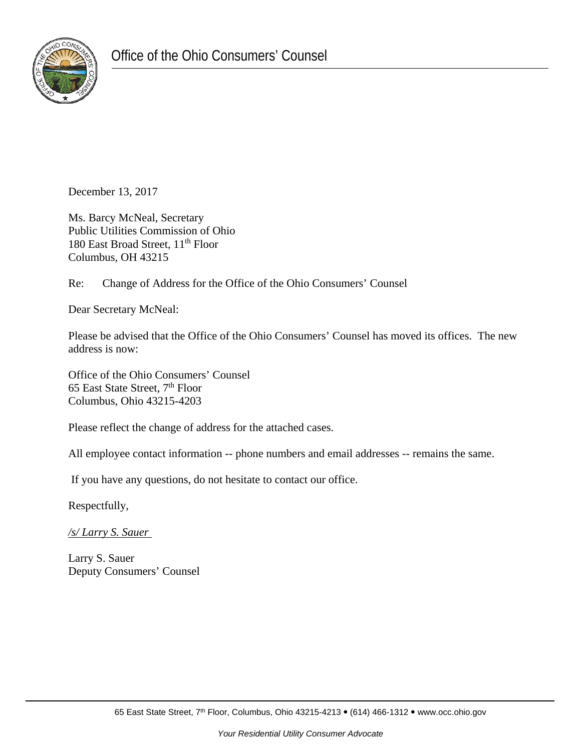

December 13, 2017

Ms. Barcy McNeal, Secretary Public Utilities Commission of Ohio 180 East Broad Street, 11<sup>th</sup> Floor Columbus, OH 43215

Re: Change of Address for the Office of the Ohio Consumers' Counsel

Dear Secretary McNeal:

Please be advised that the Office of the Ohio Consumers' Counsel has moved its offices. The new address is now:

Office of the Ohio Consumers' Counsel 65 East State Street, 7<sup>th</sup> Floor Columbus, Ohio 43215-4203

Please reflect the change of address for the attached cases.

All employee contact information -- phone numbers and email addresses -- remains the same.

If you have any questions, do not hesitate to contact our office.

Respectfully,

*/s/ Larry S. Sauer* 

Larry S. Sauer Deputy Consumers' Counsel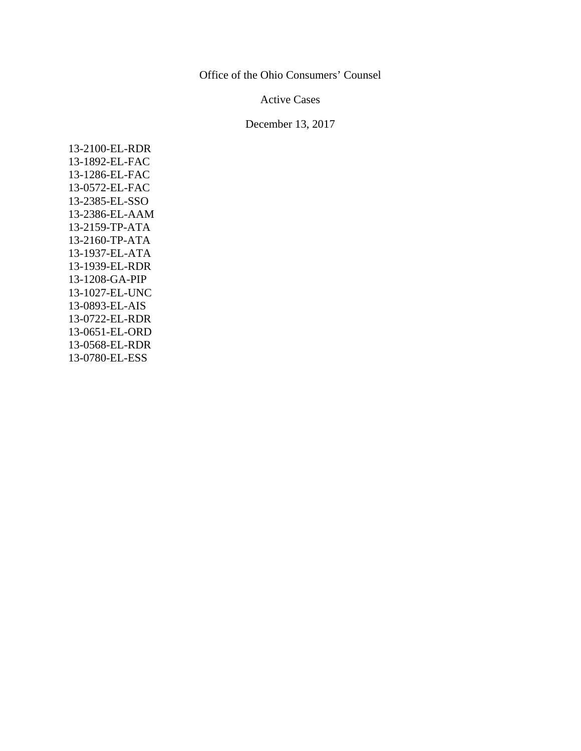## Office of the Ohio Consumers' Counsel

## Active Cases

## December 13, 2017

13-2100-EL-RDR 13-1892-EL-FAC 13-1286-EL-FAC 13-0572-EL-FAC 13-2385-EL-SSO 13-2386-EL-AAM 13-2159-TP-ATA 13-2160-TP-ATA 13-1937-EL-ATA 13-1939-EL-RDR 13-1208-GA-PIP 13-1027-EL-UNC 13-0893-EL-AIS 13-0722-EL-RDR 13-0651-EL-ORD 13-0568-EL-RDR 13-0780-EL-ESS